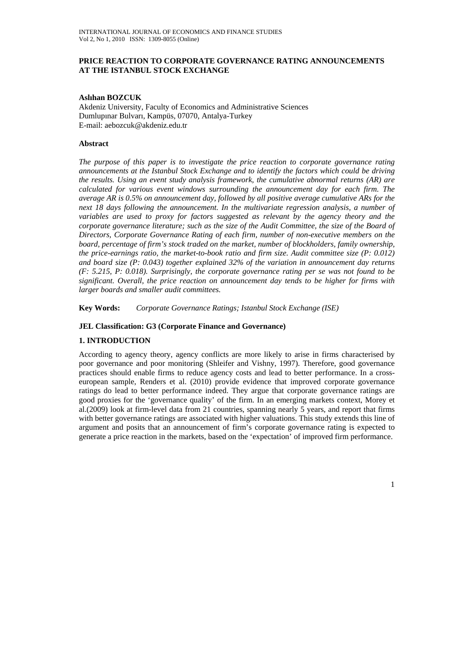## **PRICE REACTION TO CORPORATE GOVERNANCE RATING ANNOUNCEMENTS AT THE ISTANBUL STOCK EXCHANGE**

#### **Aslıhan BOZCUK**

Akdeniz University, Faculty of Economics and Administrative Sciences Dumlupınar Bulvarı, Kampüs, 07070, Antalya-Turkey E-mail: aebozcuk@akdeniz.edu.tr

## **Abstract**

*The purpose of this paper is to investigate the price reaction to corporate governance rating announcements at the Istanbul Stock Exchange and to identify the factors which could be driving the results. Using an event study analysis framework, the cumulative abnormal returns (AR) are calculated for various event windows surrounding the announcement day for each firm. The average AR is 0.5% on announcement day, followed by all positive average cumulative ARs for the next 18 days following the announcement. In the multivariate regression analysis, a number of*  variables are used to proxy for factors suggested as relevant by the agency theory and the *corporate governance literature; such as the size of the Audit Committee, the size of the Board of Directors, Corporate Governance Rating of each firm, number of non-executive members on the board, percentage of firm's stock traded on the market, number of blockholders, family ownership, the price-earnings ratio, the market-to-book ratio and firm size. Audit committee size (P: 0.012) and board size (P: 0.043) together explained 32% of the variation in announcement day returns (F: 5.215, P: 0.018). Surprisingly, the corporate governance rating per se was not found to be significant. Overall, the price reaction on announcement day tends to be higher for firms with larger boards and smaller audit committees.* 

**Key Words:** *Corporate Governance Ratings; Istanbul Stock Exchange (ISE)* 

### **JEL Classification: G3 (Corporate Finance and Governance)**

#### **1. INTRODUCTION**

According to agency theory, agency conflicts are more likely to arise in firms characterised by poor governance and poor monitoring (Shleifer and Vishny, 1997). Therefore, good governance practices should enable firms to reduce agency costs and lead to better performance. In a crosseuropean sample, Renders et al. (2010) provide evidence that improved corporate governance ratings do lead to better performance indeed. They argue that corporate governance ratings are good proxies for the 'governance quality' of the firm. In an emerging markets context, Morey et al.(2009) look at firm-level data from 21 countries, spanning nearly 5 years, and report that firms with better governance ratings are associated with higher valuations. This study extends this line of argument and posits that an announcement of firm's corporate governance rating is expected to generate a price reaction in the markets, based on the 'expectation' of improved firm performance.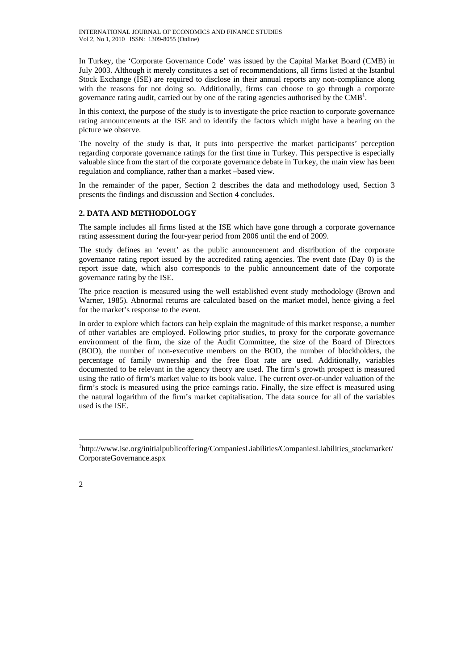In Turkey, the 'Corporate Governance Code' was issued by the Capital Market Board (CMB) in July 2003. Although it merely constitutes a set of recommendations, all firms listed at the Istanbul Stock Exchange (ISE) are required to disclose in their annual reports any non-compliance along with the reasons for not doing so. Additionally, firms can choose to go through a corporate governance rating audit, carried out by one of the rating agencies authorised by the CMB<sup>1</sup>.

In this context, the purpose of the study is to investigate the price reaction to corporate governance rating announcements at the ISE and to identify the factors which might have a bearing on the picture we observe.

The novelty of the study is that, it puts into perspective the market participants' perception regarding corporate governance ratings for the first time in Turkey. This perspective is especially valuable since from the start of the corporate governance debate in Turkey, the main view has been regulation and compliance, rather than a market –based view.

In the remainder of the paper, Section 2 describes the data and methodology used, Section 3 presents the findings and discussion and Section 4 concludes.

# **2. DATA AND METHODOLOGY**

The sample includes all firms listed at the ISE which have gone through a corporate governance rating assessment during the four-year period from 2006 until the end of 2009.

The study defines an 'event' as the public announcement and distribution of the corporate governance rating report issued by the accredited rating agencies. The event date (Day 0) is the report issue date, which also corresponds to the public announcement date of the corporate governance rating by the ISE.

The price reaction is measured using the well established event study methodology (Brown and Warner, 1985). Abnormal returns are calculated based on the market model, hence giving a feel for the market's response to the event.

In order to explore which factors can help explain the magnitude of this market response, a number of other variables are employed. Following prior studies, to proxy for the corporate governance environment of the firm, the size of the Audit Committee, the size of the Board of Directors (BOD), the number of non-executive members on the BOD, the number of blockholders, the percentage of family ownership and the free float rate are used. Additionally, variables documented to be relevant in the agency theory are used. The firm's growth prospect is measured using the ratio of firm's market value to its book value. The current over-or-under valuation of the firm's stock is measured using the price earnings ratio. Finally, the size effect is measured using the natural logarithm of the firm's market capitalisation. The data source for all of the variables used is the ISE.

 $\overline{a}$ 

<sup>&</sup>lt;sup>1</sup>http://www.ise.org/initialpublicoffering/CompaniesLiabilities/CompaniesLiabilities\_stockmarket/ CorporateGovernance.aspx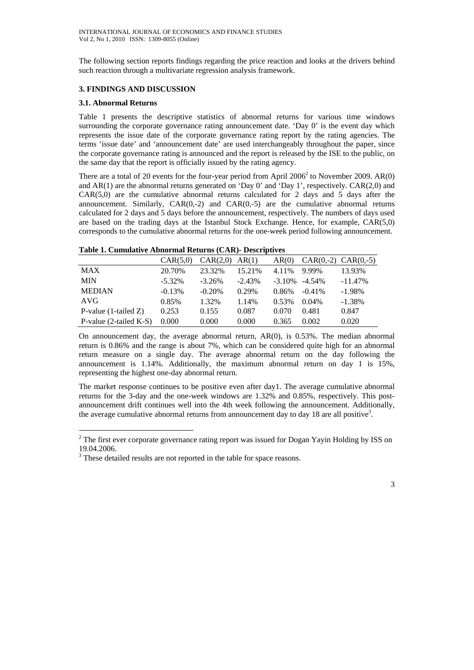The following section reports findings regarding the price reaction and looks at the drivers behind such reaction through a multivariate regression analysis framework.

# **3. FINDINGS AND DISCUSSION**

# **3.1. Abnormal Returns**

 $\overline{a}$ 

Table 1 presents the descriptive statistics of abnormal returns for various time windows surrounding the corporate governance rating announcement date. 'Day 0' is the event day which represents the issue date of the corporate governance rating report by the rating agencies. The terms 'issue date' and 'announcement date' are used interchangeably throughout the paper, since the corporate governance rating is announced and the report is released by the ISE to the public, on the same day that the report is officially issued by the rating agency.

There are a total of 20 events for the four-year period from April  $2006<sup>2</sup>$  to November 2009. AR(0) and  $AR(1)$  are the abnormal returns generated on 'Day 0' and 'Day 1', respectively.  $CAR(2,0)$  and  $CAR(5,0)$  are the cumulative abnormal returns calculated for 2 days and 5 days after the announcement. Similarly,  $CAR(0,-2)$  and  $CAR(0,-5)$  are the cumulative abnormal returns calculated for 2 days and 5 days before the announcement, respectively. The numbers of days used are based on the trading days at the Istanbul Stock Exchange. Hence, for example, CAR(5,0) corresponds to the cumulative abnormal returns for the one-week period following announcement.

### **Table 1. Cumulative Abnormal Returns (CAR)- Descriptives**

|                            | CAR(5,0)  | CAR(2,0)  | AR(1)    | AR(0)     |           | $CAR(0,-2)$ $CAR(0,-5)$ |
|----------------------------|-----------|-----------|----------|-----------|-----------|-------------------------|
| <b>MAX</b>                 | 20.70%    | 23.32%    | 15.21%   | 4.11%     | 9.99%     | 13.93%                  |
| <b>MIN</b>                 | $-5.32\%$ | $-3.26\%$ | $-2.43%$ | $-3.10\%$ | $-4.54\%$ | $-11.47\%$              |
| <b>MEDIAN</b>              | $-0.13%$  | $-0.20%$  | 0.29%    | 0.86%     | $-0.41\%$ | $-1.98\%$               |
| AVG                        | 0.85%     | 1.32%     | 1.14%    | 0.53%     | 0.04%     | $-1.38\%$               |
| P-value $(1$ -tailed $Z$ ) | 0.253     | 0.155     | 0.087    | 0.070     | 0.481     | 0.847                   |
| P-value $(2$ -tailed K-S)  | 0.000     | 0.000     | 0.000    | 0.365     | 0.002     | 0.020                   |

On announcement day, the average abnormal return, AR(0), is 0.53%. The median abnormal return is 0.86% and the range is about 7%, which can be considered quite high for an abnormal return measure on a single day. The average abnormal return on the day following the announcement is 1.14%. Additionally, the maximum abnormal return on day 1 is 15%, representing the highest one-day abnormal return.

The market response continues to be positive even after day1. The average cumulative abnormal returns for the 3-day and the one-week windows are 1.32% and 0.85%, respectively. This postannouncement drift continues well into the 4th week following the announcement. Additionally, the average cumulative abnormal returns from announcement day to day 18 are all positive<sup>3</sup>.

 $2^2$  The first ever corporate governance rating report was issued for Dogan Yayin Holding by ISS on 19.04.2006.

<sup>&</sup>lt;sup>3</sup> These detailed results are not reported in the table for space reasons.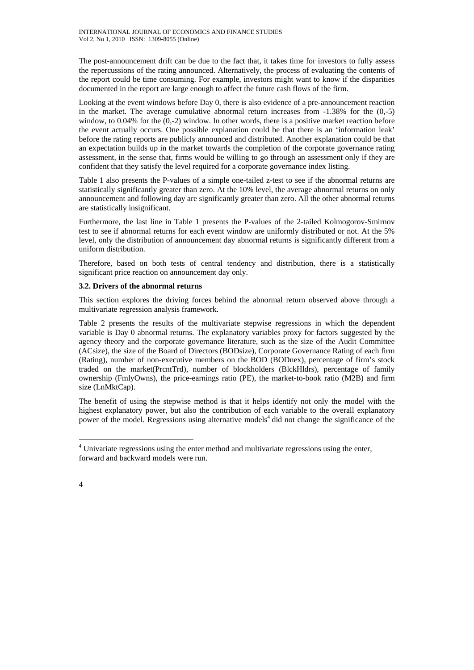The post-announcement drift can be due to the fact that, it takes time for investors to fully assess the repercussions of the rating announced. Alternatively, the process of evaluating the contents of the report could be time consuming. For example, investors might want to know if the disparities documented in the report are large enough to affect the future cash flows of the firm.

Looking at the event windows before Day 0, there is also evidence of a pre-announcement reaction in the market. The average cumulative abnormal return increases from -1.38% for the (0,-5) window, to 0.04% for the (0,-2) window. In other words, there is a positive market reaction before the event actually occurs. One possible explanation could be that there is an 'information leak' before the rating reports are publicly announced and distributed. Another explanation could be that an expectation builds up in the market towards the completion of the corporate governance rating assessment, in the sense that, firms would be willing to go through an assessment only if they are confident that they satisfy the level required for a corporate governance index listing.

Table 1 also presents the P-values of a simple one-tailed z-test to see if the abnormal returns are statistically significantly greater than zero. At the 10% level, the average abnormal returns on only announcement and following day are significantly greater than zero. All the other abnormal returns are statistically insignificant.

Furthermore, the last line in Table 1 presents the P-values of the 2-tailed Kolmogorov-Smirnov test to see if abnormal returns for each event window are uniformly distributed or not. At the 5% level, only the distribution of announcement day abnormal returns is significantly different from a uniform distribution.

Therefore, based on both tests of central tendency and distribution, there is a statistically significant price reaction on announcement day only.

# **3.2. Drivers of the abnormal returns**

This section explores the driving forces behind the abnormal return observed above through a multivariate regression analysis framework.

Table 2 presents the results of the multivariate stepwise regressions in which the dependent variable is Day 0 abnormal returns. The explanatory variables proxy for factors suggested by the agency theory and the corporate governance literature, such as the size of the Audit Committee (ACsize), the size of the Board of Directors (BODsize), Corporate Governance Rating of each firm (Rating), number of non-executive members on the BOD (BODnex), percentage of firm's stock traded on the market(PrcntTrd), number of blockholders (BlckHldrs), percentage of family ownership (FmlyOwns), the price-earnings ratio (PE), the market-to-book ratio (M2B) and firm size (LnMktCap).

The benefit of using the stepwise method is that it helps identify not only the model with the highest explanatory power, but also the contribution of each variable to the overall explanatory power of the model. Regressions using alternative models<sup>4</sup> did not change the significance of the

 $\overline{a}$ 

<sup>&</sup>lt;sup>4</sup> Univariate regressions using the enter method and multivariate regressions using the enter, forward and backward models were run.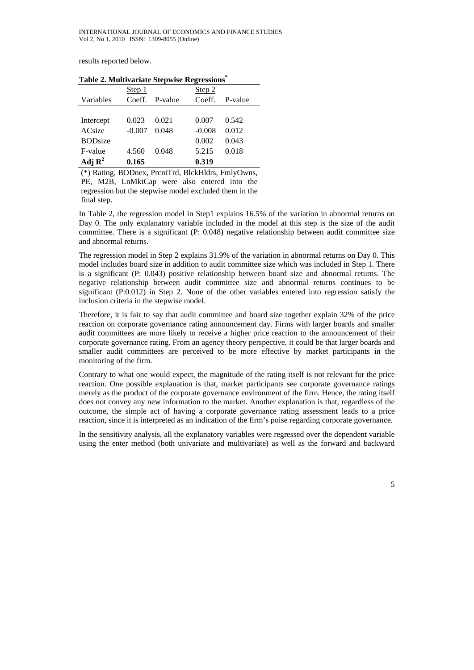results reported below.

| $\frac{1}{2}$ and $\frac{1}{2}$ and $\frac{1}{2}$ are $\frac{1}{2}$ and $\frac{1}{2}$ and $\frac{1}{2}$ and $\frac{1}{2}$ and $\frac{1}{2}$ and $\frac{1}{2}$ |          |                |          |         |  |  |  |  |
|---------------------------------------------------------------------------------------------------------------------------------------------------------------|----------|----------------|----------|---------|--|--|--|--|
|                                                                                                                                                               | Step 1   |                | Step 2   |         |  |  |  |  |
| Variables                                                                                                                                                     |          | Coeff. P-value | Coeff.   | P-value |  |  |  |  |
|                                                                                                                                                               |          |                |          |         |  |  |  |  |
| Intercept                                                                                                                                                     | 0.023    | 0.021          | 0.007    | 0.542   |  |  |  |  |
| <b>ACsize</b>                                                                                                                                                 | $-0.007$ | 0.048          | $-0.008$ | 0.012   |  |  |  |  |
| <b>BODsize</b>                                                                                                                                                |          |                | 0.002    | 0.043   |  |  |  |  |
| F-value                                                                                                                                                       | 4.560    | 0.048          | 5.215    | 0.018   |  |  |  |  |
| Adj $\mathbf{R}^2$                                                                                                                                            | 0.165    |                | 0.319    |         |  |  |  |  |

**Table 2. Multivariate Stepwise Regressions\***

(\*) Rating, BODnex, PrcntTrd, BlckHldrs, FmlyOwns, PE, M2B, LnMktCap were also entered into the regression but the stepwise model excluded them in the final step.

In Table 2, the regression model in Step1 explains 16.5% of the variation in abnormal returns on Day 0. The only explanatory variable included in the model at this step is the size of the audit committee. There is a significant (P: 0.048) negative relationship between audit committee size and abnormal returns.

The regression model in Step 2 explains 31.9% of the variation in abnormal returns on Day 0. This model includes board size in addition to audit committee size which was included in Step 1. There is a significant (P: 0.043) positive relationship between board size and abnormal returns. The negative relationship between audit committee size and abnormal returns continues to be significant (P:0.012) in Step 2. None of the other variables entered into regression satisfy the inclusion criteria in the stepwise model.

Therefore, it is fair to say that audit committee and board size together explain 32% of the price reaction on corporate governance rating announcement day. Firms with larger boards and smaller audit committees are more likely to receive a higher price reaction to the announcement of their corporate governance rating. From an agency theory perspective, it could be that larger boards and smaller audit committees are perceived to be more effective by market participants in the monitoring of the firm.

Contrary to what one would expect, the magnitude of the rating itself is not relevant for the price reaction. One possible explanation is that, market participants see corporate governance ratings merely as the product of the corporate governance environment of the firm. Hence, the rating itself does not convey any new information to the market. Another explanation is that, regardless of the outcome, the simple act of having a corporate governance rating assessment leads to a price reaction, since it is interpreted as an indication of the firm's poise regarding corporate governance.

In the sensitivity analysis, all the explanatory variables were regressed over the dependent variable using the enter method (both univariate and multivariate) as well as the forward and backward